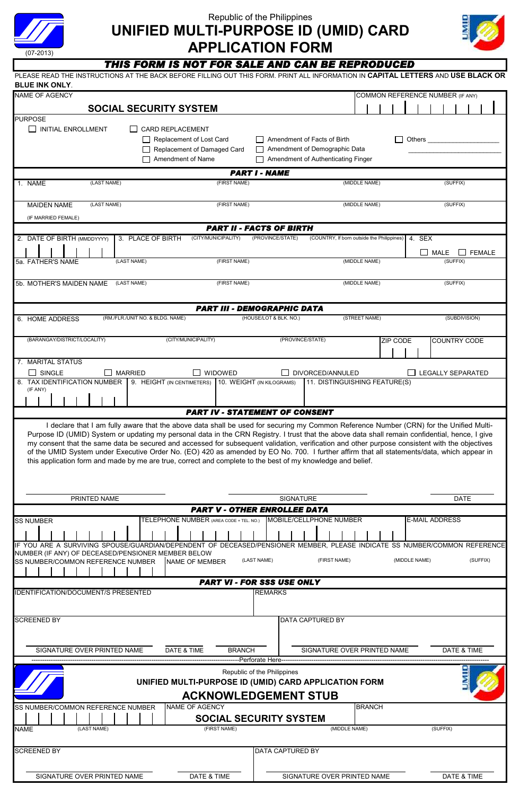

# **APPLICATION FORM** Republic of the Philippines **UNIFIED MULTI-PURPOSE ID (UMID) CARD**



### THIS FORM IS NOT FOR SALE AND CAN BE REPRODUCED

| PLEASE READ THE INSTRUCTIONS AT THE BACK BEFORE FILLING OUT THIS FORM. PRINT ALL INFORMATION IN CAPITAL LETTERS AND USE BLACK OR<br><b>BLUE INK ONLY.</b>                                                                                                                                                                                                                                                   |                                                                                                    |                                                                                                                    |               |                                  |               |                           |                     |          |  |
|-------------------------------------------------------------------------------------------------------------------------------------------------------------------------------------------------------------------------------------------------------------------------------------------------------------------------------------------------------------------------------------------------------------|----------------------------------------------------------------------------------------------------|--------------------------------------------------------------------------------------------------------------------|---------------|----------------------------------|---------------|---------------------------|---------------------|----------|--|
| <b>NAME OF AGENCY</b>                                                                                                                                                                                                                                                                                                                                                                                       |                                                                                                    |                                                                                                                    |               | COMMON REFERENCE NUMBER (IF ANY) |               |                           |                     |          |  |
| <b>SOCIAL SECURITY SYSTEM</b>                                                                                                                                                                                                                                                                                                                                                                               |                                                                                                    |                                                                                                                    |               |                                  |               |                           |                     |          |  |
| <b>PURPOSE</b><br>I INITIAL ENROLLMENT                                                                                                                                                                                                                                                                                                                                                                      | □ CARD REPLACEMENT<br>Replacement of Lost Card<br>Replacement of Damaged Card<br>Amendment of Name | Amendment of Facts of Birth<br>Amendment of Demographic Data<br>$\mathbf{I}$<br>Amendment of Authenticating Finger |               |                                  |               |                           |                     |          |  |
|                                                                                                                                                                                                                                                                                                                                                                                                             |                                                                                                    | <b>PART I - NAME</b>                                                                                               |               |                                  |               |                           |                     |          |  |
| (LAST NAME)<br>1. NAME                                                                                                                                                                                                                                                                                                                                                                                      | (FIRST NAME)                                                                                       |                                                                                                                    | (MIDDLE NAME) |                                  |               |                           | (SUFFIX)            |          |  |
| (LAST NAME)<br><b>MAIDEN NAME</b><br>(IF MARRIED FEMALE)                                                                                                                                                                                                                                                                                                                                                    | (FIRST NAME)                                                                                       |                                                                                                                    | (MIDDLE NAME) |                                  |               |                           | (SUFFIX)            |          |  |
|                                                                                                                                                                                                                                                                                                                                                                                                             |                                                                                                    | <b>PART II - FACTS OF BIRTH</b>                                                                                    |               |                                  |               |                           |                     |          |  |
| 2. DATE OF BIRTH (MMDDYYYY)<br>3. PLACE OF BIRTH<br>(LAST NAME)<br>5a. FATHER'S NAME                                                                                                                                                                                                                                                                                                                        | (CITY/MUNICIPALITY)<br>(FIRST NAME)                                                                | (PROVINCE/STATE)<br>(COUNTRY, If born outside the Philippines)                                                     | (MIDDLE NAME) |                                  | 4. SEX        | $\Box$ MALE $\Box$ FEMALE | (SUFFIX)            |          |  |
| (LAST NAME)<br>5b. MOTHER'S MAIDEN NAME                                                                                                                                                                                                                                                                                                                                                                     | (FIRST NAME)                                                                                       |                                                                                                                    | (MIDDLE NAME) |                                  |               |                           | (SUFFIX)            |          |  |
|                                                                                                                                                                                                                                                                                                                                                                                                             |                                                                                                    |                                                                                                                    |               |                                  |               |                           |                     |          |  |
| 6. HOME ADDRESS<br>(RM./FLR./UNIT NO. & BLDG. NAME)                                                                                                                                                                                                                                                                                                                                                         |                                                                                                    | <b>PART III - DEMOGRAPHIC DATA</b><br>(HOUSE/LOT & BLK. NO.)                                                       | (STREET NAME) |                                  |               |                           | (SUBDIVISION)       |          |  |
|                                                                                                                                                                                                                                                                                                                                                                                                             |                                                                                                    |                                                                                                                    |               |                                  |               |                           |                     |          |  |
| (BARANGAY/DISTRICT/LOCALITY)                                                                                                                                                                                                                                                                                                                                                                                | (CITY/MUNICIPALITY)                                                                                | (PROVINCE/STATE)                                                                                                   |               | <b>ZIP CODE</b>                  |               |                           | <b>COUNTRY CODE</b> |          |  |
| 7. MARITAL STATUS<br>$\Box$ single<br>$\square$ Married                                                                                                                                                                                                                                                                                                                                                     | WIDOWED                                                                                            | DIVORCED/ANNULED<br>$\mathbf{I}$                                                                                   |               |                                  |               | <b>LEGALLY SEPARATED</b>  |                     |          |  |
| 8. TAX IDENTIFICATION NUMBER                                                                                                                                                                                                                                                                                                                                                                                | 9. HEIGHT (IN CENTIMETERS) 10. WEIGHT (IN KILOGRAMS)                                               | 11. DISTINGUISHING FEATURE(S)                                                                                      |               |                                  |               |                           |                     |          |  |
| (IF ANY)                                                                                                                                                                                                                                                                                                                                                                                                    |                                                                                                    |                                                                                                                    |               |                                  |               |                           |                     |          |  |
| my consent that the same data be secured and accessed for subsequent validation, verification and other purpose consistent with the objectives<br>of the UMID System under Executive Order No. (EO) 420 as amended by EO No. 700. I further affirm that all statements/data, which appear in<br>this application form and made by me are true, correct and complete to the best of my knowledge and belief. |                                                                                                    |                                                                                                                    |               |                                  |               |                           |                     |          |  |
| PRINTED NAME                                                                                                                                                                                                                                                                                                                                                                                                |                                                                                                    | SIGNATURE                                                                                                          |               |                                  |               |                           | <b>DATE</b>         |          |  |
|                                                                                                                                                                                                                                                                                                                                                                                                             |                                                                                                    | <b>PART V - OTHER ENROLLEE DATA</b>                                                                                |               |                                  |               |                           |                     |          |  |
| <b>SS NUMBER</b>                                                                                                                                                                                                                                                                                                                                                                                            | TELEPHONE NUMBER (AREA CODE + TEL. NO.)                                                            | MOBILE/CELLPHONE NUMBER                                                                                            |               |                                  |               | <b>E-MAIL ADDRESS</b>     |                     |          |  |
| IF YOU ARE A SURVIVING SPOUSE/GUARDIAN/DEPENDENT OF DECEASED/PENSIONER MEMBER, PLEASE INDICATE SS NUMBER/COMMON REFERENCE                                                                                                                                                                                                                                                                                   |                                                                                                    |                                                                                                                    |               |                                  |               |                           |                     |          |  |
| NUMBER (IF ANY) OF DECEASED/PENSIONER MEMBER BELOW<br>SS NUMBER/COMMON REFERENCE NUMBER                                                                                                                                                                                                                                                                                                                     | <b>NAME OF MEMBER</b>                                                                              | (LAST NAME)<br>(FIRST NAME)                                                                                        |               |                                  | (MIDDLE NAME) |                           |                     | (SUFFIX) |  |
|                                                                                                                                                                                                                                                                                                                                                                                                             |                                                                                                    | <b>PART VI - FOR SSS USE ONLY</b>                                                                                  |               |                                  |               |                           |                     |          |  |
| IDENTIFICATION/DOCUMENT/S PRESENTED                                                                                                                                                                                                                                                                                                                                                                         |                                                                                                    | <b>REMARKS</b>                                                                                                     |               |                                  |               |                           |                     |          |  |
| <b>SCREENED BY</b>                                                                                                                                                                                                                                                                                                                                                                                          |                                                                                                    | DATA CAPTURED BY                                                                                                   |               |                                  |               |                           |                     |          |  |
| SIGNATURE OVER PRINTED NAME                                                                                                                                                                                                                                                                                                                                                                                 | DATE & TIME<br><b>BRANCH</b>                                                                       | SIGNATURE OVER PRINTED NAME                                                                                        |               |                                  |               |                           | DATE & TIME         |          |  |
|                                                                                                                                                                                                                                                                                                                                                                                                             |                                                                                                    | --Perforate Here-<br>Republic of the Philippines                                                                   |               |                                  |               |                           |                     |          |  |
|                                                                                                                                                                                                                                                                                                                                                                                                             |                                                                                                    | UNIFIED MULTI-PURPOSE ID (UMID) CARD APPLICATION FORM<br><b>ACKNOWLEDGEMENT STUB</b>                               |               |                                  |               |                           |                     |          |  |
| SS NUMBER/COMMON REFERENCE NUMBER                                                                                                                                                                                                                                                                                                                                                                           | NAME OF AGENCY                                                                                     | <b>SOCIAL SECURITY SYSTEM</b>                                                                                      | <b>BRANCH</b> |                                  |               |                           |                     |          |  |
| <b>NAME</b><br>(LAST NAME)                                                                                                                                                                                                                                                                                                                                                                                  | (FIRST NAME)                                                                                       | (MIDDLE NAME)                                                                                                      |               |                                  |               | (SUFFIX)                  |                     |          |  |
| <b>SCREENED BY</b>                                                                                                                                                                                                                                                                                                                                                                                          |                                                                                                    | DATA CAPTURED BY                                                                                                   |               |                                  |               |                           |                     |          |  |
| SIGNATURE OVER PRINTED NAME                                                                                                                                                                                                                                                                                                                                                                                 | DATE & TIME                                                                                        | SIGNATURE OVER PRINTED NAME                                                                                        |               |                                  |               |                           | DATE & TIME         |          |  |